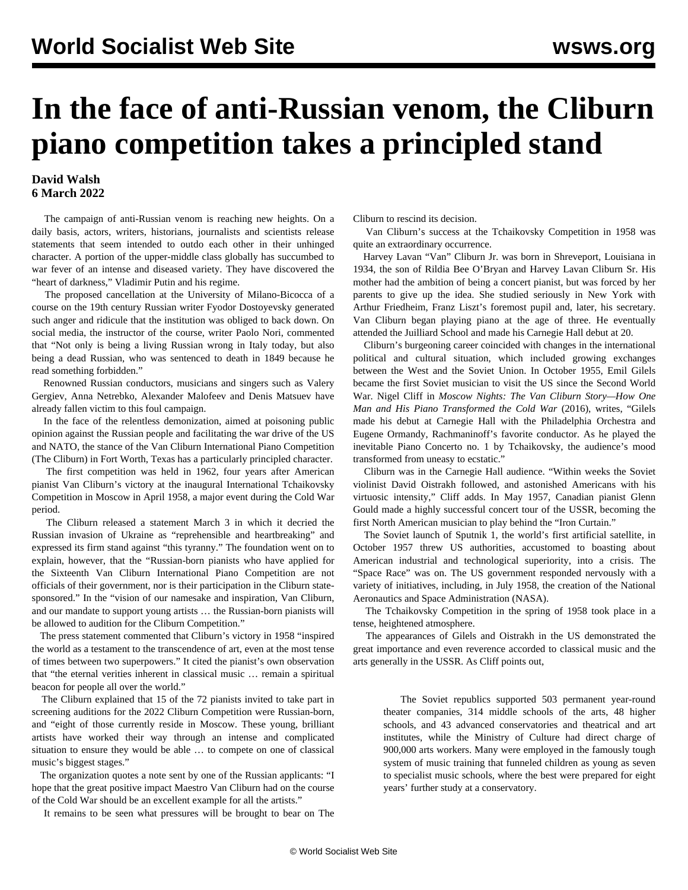## **In the face of anti-Russian venom, the Cliburn piano competition takes a principled stand**

## **David Walsh 6 March 2022**

 The campaign of anti-Russian venom is reaching new heights. On a daily basis, actors, writers, historians, journalists and scientists release statements that seem intended to outdo each other in their unhinged character. A portion of the upper-middle class globally has succumbed to war fever of an intense and diseased variety. They have discovered the "heart of darkness," Vladimir Putin and his regime.

 The proposed cancellation at the University of Milano-Bicocca of a course on the 19th century Russian writer Fyodor Dostoyevsky generated such anger and ridicule that the institution was obliged to back down. On social media, the instructor of the course, writer Paolo Nori, commented that "Not only is being a living Russian wrong in Italy today, but also being a dead Russian, who was sentenced to death in 1849 because he read something forbidden."

 Renowned Russian conductors, musicians and singers such as Valery Gergiev, Anna Netrebko, Alexander Malofeev and Denis Matsuev have already fallen victim to this foul campaign.

 In the face of the relentless demonization, aimed at poisoning public opinion against the Russian people and facilitating the war drive of the US and NATO, the stance of the Van Cliburn International Piano Competition (The Cliburn) in Fort Worth, Texas has a particularly principled character.

 The first competition was held in 1962, four years after American pianist Van Cliburn's victory at the inaugural International Tchaikovsky Competition in Moscow in April 1958, a major event during the Cold War period.

 The Cliburn released a statement March 3 in which it decried the Russian invasion of Ukraine as "reprehensible and heartbreaking" and expressed its firm stand against "this tyranny." The foundation went on to explain, however, that the "Russian-born pianists who have applied for the Sixteenth Van Cliburn International Piano Competition are not officials of their government, nor is their participation in the Cliburn statesponsored." In the "vision of our namesake and inspiration, Van Cliburn, and our mandate to support young artists … the Russian-born pianists will be allowed to audition for the Cliburn Competition."

 The press statement commented that Cliburn's victory in 1958 "inspired the world as a testament to the transcendence of art, even at the most tense of times between two superpowers." It cited the pianist's own observation that "the eternal verities inherent in classical music … remain a spiritual beacon for people all over the world."

 The Cliburn explained that 15 of the 72 pianists invited to take part in screening auditions for the 2022 Cliburn Competition were Russian-born, and "eight of those currently reside in Moscow. These young, brilliant artists have worked their way through an intense and complicated situation to ensure they would be able … to compete on one of classical music's biggest stages."

 The organization quotes a note sent by one of the Russian applicants: "I hope that the great positive impact Maestro Van Cliburn had on the course of the Cold War should be an excellent example for all the artists."

It remains to be seen what pressures will be brought to bear on The

Cliburn to rescind its decision.

 Van Cliburn's success at the Tchaikovsky Competition in 1958 was quite an extraordinary occurrence.

 Harvey Lavan "Van" Cliburn Jr. was born in Shreveport, Louisiana in 1934, the son of Rildia Bee O'Bryan and Harvey Lavan Cliburn Sr. His mother had the ambition of being a concert pianist, but was forced by her parents to give up the idea. She studied seriously in New York with Arthur Friedheim, Franz Liszt's foremost pupil and, later, his secretary. Van Cliburn began playing piano at the age of three. He eventually attended the Juilliard School and made his Carnegie Hall debut at 20.

 Cliburn's burgeoning career coincided with changes in the international political and cultural situation, which included growing exchanges between the West and the Soviet Union. In October 1955, Emil Gilels became the first Soviet musician to visit the US since the Second World War. Nigel Cliff in *Moscow Nights: The Van Cliburn Story—How One Man and His Piano Transformed the Cold War* (2016), writes, "Gilels made his debut at Carnegie Hall with the Philadelphia Orchestra and Eugene Ormandy, Rachmaninoff's favorite conductor. As he played the inevitable Piano Concerto no. 1 by Tchaikovsky, the audience's mood transformed from uneasy to ecstatic."

 Cliburn was in the Carnegie Hall audience. "Within weeks the Soviet violinist David Oistrakh followed, and astonished Americans with his virtuosic intensity," Cliff adds. In May 1957, Canadian pianist Glenn Gould made a highly successful concert tour of the USSR, becoming the first North American musician to play behind the "Iron Curtain."

 The Soviet launch of Sputnik 1, the world's first artificial satellite, in October 1957 threw US authorities, accustomed to boasting about American industrial and technological superiority, into a crisis. The "Space Race" was on. The US government responded nervously with a variety of initiatives, including, in July 1958, the creation of the National Aeronautics and Space Administration (NASA).

 The Tchaikovsky Competition in the spring of 1958 took place in a tense, heightened atmosphere.

 The appearances of Gilels and Oistrakh in the US demonstrated the great importance and even reverence accorded to classical music and the arts generally in the USSR. As Cliff points out,

 The Soviet republics supported 503 permanent year-round theater companies, 314 middle schools of the arts, 48 higher schools, and 43 advanced conservatories and theatrical and art institutes, while the Ministry of Culture had direct charge of 900,000 arts workers. Many were employed in the famously tough system of music training that funneled children as young as seven to specialist music schools, where the best were prepared for eight years' further study at a conservatory.